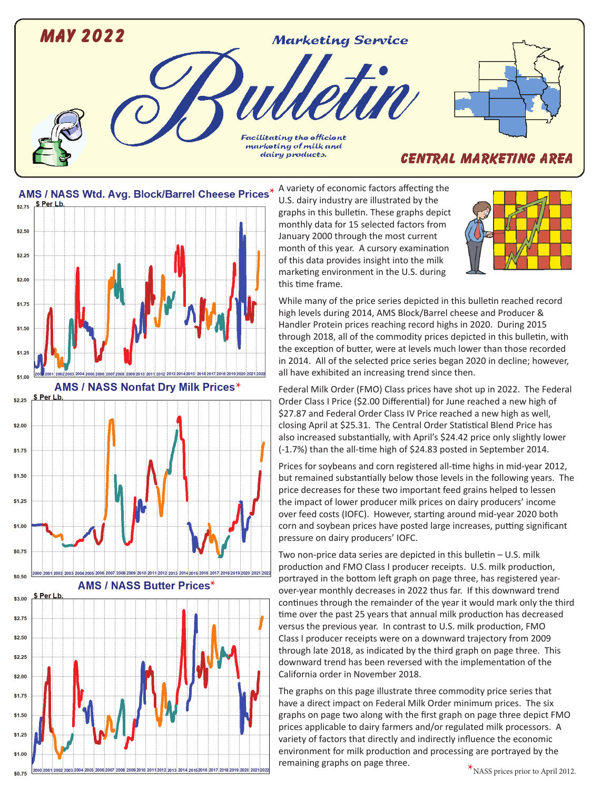



\$0.75

U.S. dairy industry are illustrated by the graphs in this bulletin. These graphs depict monthly data for 15 selected factors from January 2000 through the most current month of this year. A cursory examination of this data provides insight into the milk marketing environment in the U.S. during this time frame.



While many of the price series depicted in this bulletin reached record high levels during 2014, AMS Block/Barrel cheese and Producer & Handler Protein prices reaching record highs in 2020. During 2015 through 2018, all of the commodity prices depicted in this bulletin, with the exception of butter, were at levels much lower than those recorded in 2014. All of the selected price series began 2020 in decline; however, all have exhibited an increasing trend since then.

Federal Milk Order (FMO) Class prices have shot up in 2022. The Federal Order Class I Price (\$2.00 Differential) for June reached a new high of \$27.87 and Federal Order Class IV Price reached a new high as well, closing April at \$25.31. The Central Order Statistical Blend Price has also increased substantially, with April's \$24.42 price only slightly lower (-1.7%) than the all-time high of \$24.83 posted in September 2014.

Prices for soybeans and corn registered all-time highs in mid-year 2012, but remained substantially below those levels in the following years. The price decreases for these two important feed grains helped to lessen the impact of lower producer milk prices on dairy producers' income over feed costs (IOFC). However, starting around mid-year 2020 both corn and soybean prices have posted large increases, putting significant pressure on dairy producers' IOFC.

Two non-price data series are depicted in this bulletin – U.S. milk production and FMO Class I producer receipts. U.S. milk production, portrayed in the bottom left graph on page three, has registered yearover-year monthly decreases in 2022 thus far. If this downward trend continues through the remainder of the year it would mark only the third time over the past 25 years that annual milk production has decreased versus the previous year. In contrast to U.S. milk production, FMO Class I producer receipts were on a downward trajectory from 2009 through late 2018, as indicated by the third graph on page three. This downward trend has been reversed with the implementation of the California order in November 2018.

The graphs on this page illustrate three commodity price series that have a direct impact on Federal Milk Order minimum prices. The six graphs on page two along with the first graph on page three depict FMO prices applicable to dairy farmers and/or regulated milk processors. A variety of factors that directly and indirectly influence the economic environment for milk production and processing are portrayed by the remaining graphs on page three.<br>**\***NASS prices prior to April 2012.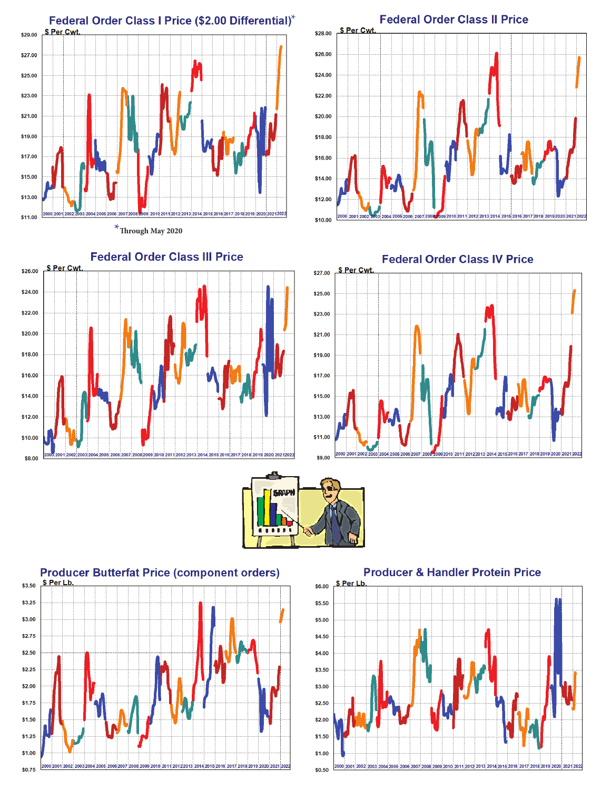

**\*Through May 2020**











**Producer & Handler Protein Price** 

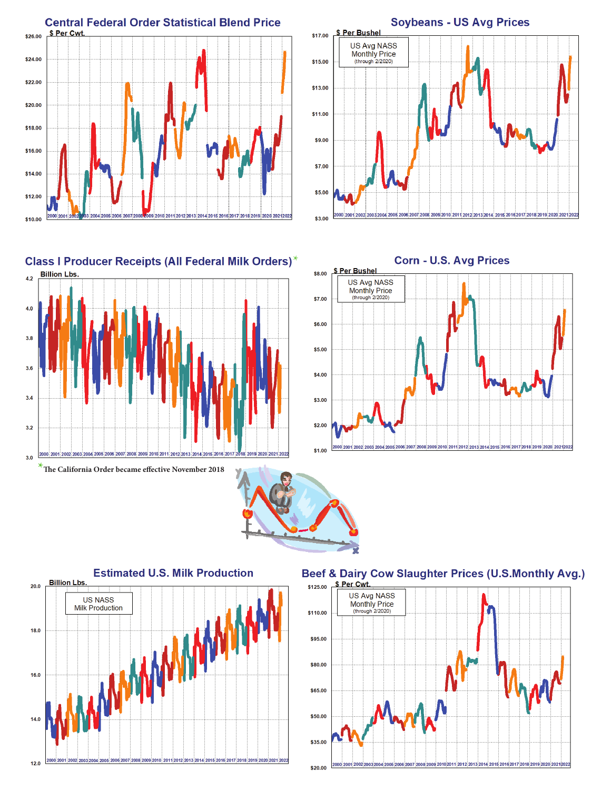











Beef & Dairy Cow Slaughter Prices (U.S.Monthly Avg.)